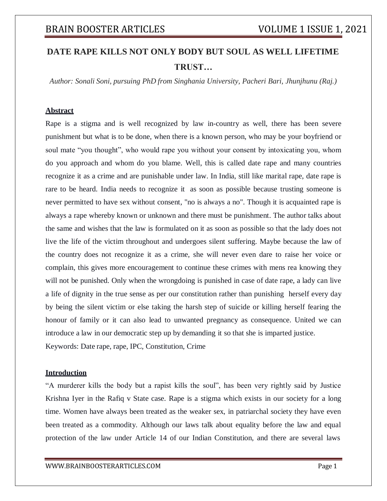# **DATE RAPE KILLS NOT ONLY BODY BUT SOUL AS WELL LIFETIME TRUST…**

*Author: Sonali Soni, pursuing PhD from Singhania University, Pacheri Bari, Jhunjhunu (Raj.)*

#### **Abstract**

Rape is a stigma and is well recognized by law in-country as well, there has been severe punishment but what is to be done, when there is a known person, who may be your boyfriend or soul mate "you thought", who would rape you without your consent by intoxicating you, whom do you approach and whom do you blame. Well, this is called date rape and many countries recognize it as a crime and are punishable under law. In India, still like marital rape, date rape is rare to be heard. India needs to recognize it as soon as possible because trusting someone is never permitted to have sex without consent, "no is always a no". Though it is acquainted rape is always a rape whereby known or unknown and there must be punishment. The author talks about the same and wishes that the law is formulated on it as soon as possible so that the lady does not live the life of the victim throughout and undergoes silent suffering. Maybe because the law of the country does not recognize it as a crime, she will never even dare to raise her voice or complain, this gives more encouragement to continue these crimes with mens rea knowing they will not be punished. Only when the wrongdoing is punished in case of date rape, a lady can live a life of dignity in the true sense as per our constitution rather than punishing herself every day by being the silent victim or else taking the harsh step of suicide or killing herself fearing the honour of family or it can also lead to unwanted pregnancy as consequence. United we can introduce a law in our democratic step up by demanding it so that she is imparted justice. Keywords: Date rape, rape, IPC, Constitution, Crime

#### **Introduction**

"A murderer kills the body but a rapist kills the soul", has been very rightly said by Justice Krishna Iyer in the Rafiq v State case. Rape is a stigma which exists in our society for a long time. Women have always been treated as the weaker sex, in patriarchal society they have even been treated as a commodity. Although our laws talk about equality before the law and equal protection of the law under Article 14 of our Indian Constitution, and there are several laws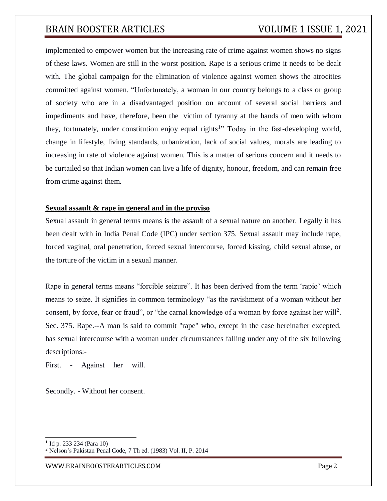implemented to empower women but the increasing rate of crime against women shows no signs of these laws. Women are still in the worst position. Rape is a serious crime it needs to be dealt with. The global campaign for the elimination of violence against women shows the atrocities committed against women. "Unfortunately, a woman in our country belongs to a class or group of society who are in a disadvantaged position on account of several social barriers and impediments and have, therefore, been the victim of tyranny at the hands of men with whom they, fortunately, under constitution enjoy equal rights<sup>1</sup>" Today in the fast-developing world, change in lifestyle, living standards, urbanization, lack of social values, morals are leading to increasing in rate of violence against women. This is a matter of serious concern and it needs to be curtailed so that Indian women can live a life of dignity, honour, freedom, and can remain free from crime against them.

#### **Sexual assault & rape in general and in the proviso**

Sexual assault in general terms means is the assault of a sexual nature on another. Legally it has been dealt with in India Penal Code (IPC) under section 375. Sexual assault may include rape, forced vaginal, oral penetration, forced sexual intercourse, forced kissing, child sexual abuse, or the torture of the victim in a sexual manner.

Rape in general terms means "forcible seizure". It has been derived from the term 'rapio' which means to seize. It signifies in common terminology "as the ravishment of a woman without her consent, by force, fear or fraud", or "the carnal knowledge of a woman by force against her will<sup>2</sup>. Sec. 375. Rape.--A man is said to commit "rape" who, except in the case hereinafter excepted, has sexual intercourse with a woman under circumstances falling under any of the six following descriptions:-

First. - Against her will.

Secondly. - Without her consent.

<sup>&</sup>lt;sup>1</sup> Id p. 233 234 (Para 10)

<sup>2</sup> Nelson's Pakistan Penal Code, 7 Th ed. (1983) Vol. II, P. 2014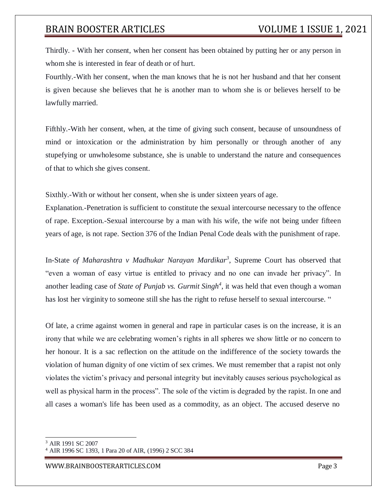Thirdly. - With her consent, when her consent has been obtained by putting her or any person in whom she is interested in fear of death or of hurt.

Fourthly.-With her consent, when the man knows that he is not her husband and that her consent is given because she believes that he is another man to whom she is or believes herself to be lawfully married.

Fifthly.-With her consent, when, at the time of giving such consent, because of unsoundness of mind or intoxication or the administration by him personally or through another of any stupefying or unwholesome substance, she is unable to understand the nature and consequences of that to which she gives consent.

Sixthly.-With or without her consent, when she is under sixteen years of age.

Explanation.-Penetration is sufficient to constitute the sexual intercourse necessary to the offence of rape. Exception.-Sexual intercourse by a man with his wife, the wife not being under fifteen years of age, is not rape. Section 376 of the Indian Penal Code deals with the punishment of rape.

In-State *of Maharashtra v Madhukar Narayan Mardikar<sup>3</sup>* , Supreme Court has observed that "even a woman of easy virtue is entitled to privacy and no one can invade her privacy". In another leading case of *State of Punjab vs. Gurmit Singh<sup>4</sup>* , it was held that even though a woman has lost her virginity to someone still she has the right to refuse herself to sexual intercourse. "

Of late, a crime against women in general and rape in particular cases is on the increase, it is an irony that while we are celebrating women's rights in all spheres we show little or no concern to her honour. It is a sac reflection on the attitude on the indifference of the society towards the violation of human dignity of one victim of sex crimes. We must remember that a rapist not only violates the victim's privacy and personal integrity but inevitably causes serious psychological as well as physical harm in the process". The sole of the victim is degraded by the rapist. In one and all cases a woman's life has been used as a commodity, as an object. The accused deserve no

<sup>3</sup> AIR 1991 SC 2007

<sup>4</sup> AIR 1996 SC 1393, 1 Para 20 of AIR, (1996) 2 SCC 384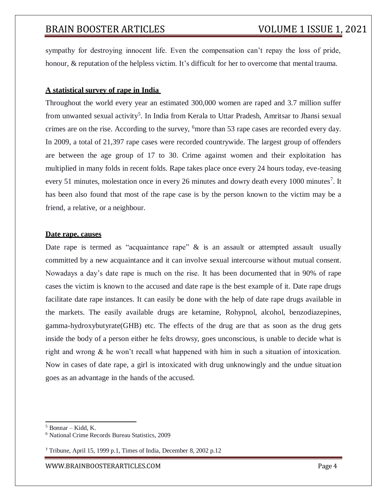sympathy for destroying innocent life. Even the compensation can't repay the loss of pride, honour, & reputation of the helpless victim. It's difficult for her to overcome that mental trauma.

#### **A statistical survey of rape in India**

Throughout the world every year an estimated 300,000 women are raped and 3.7 million suffer from unwanted sexual activity<sup>5</sup>. In India from Kerala to Uttar Pradesh, Amritsar to Jhansi sexual crimes are on the rise. According to the survey, <sup>6</sup>more than 53 rape cases are recorded every day. In 2009, a total of 21,397 rape cases were recorded countrywide. The largest group of offenders are between the age group of 17 to 30. Crime against women and their exploitation has multiplied in many folds in recent folds. Rape takes place once every 24 hours today, eve-teasing every 51 minutes, molestation once in every 26 minutes and dowry death every 1000 minutes<sup>7</sup>. It has been also found that most of the rape case is by the person known to the victim may be a friend, a relative, or a neighbour.

#### **Date rape, causes**

Date rape is termed as "acquaintance rape"  $\&$  is an assault or attempted assault usually committed by a new acquaintance and it can involve sexual intercourse without mutual consent. Nowadays a day's date rape is much on the rise. It has been documented that in 90% of rape cases the victim is known to the accused and date rape is the best example of it. Date rape drugs facilitate date rape instances. It can easily be done with the help of date rape drugs available in the markets. The easily available drugs are ketamine, Rohypnol, alcohol, benzodiazepines, gamma-hydroxybutyrate(GHB) etc. The effects of the drug are that as soon as the drug gets inside the body of a person either he felts drowsy, goes unconscious, is unable to decide what is right and wrong & he won't recall what happened with him in such a situation of intoxication. Now in cases of date rape, a girl is intoxicated with drug unknowingly and the undue situation goes as an advantage in the hands of the accused.

[WWW.BRAINBOOSTERARTICLES.COM](http://www.brainboosterarticles.com/) Page 4

 $<sup>5</sup>$  Bonnar – Kidd, K.</sup>

<sup>6</sup> National Crime Records Bureau Statistics, 2009

<sup>7</sup> Tribune, April 15, 1999 p.1, Times of India, December 8, 2002 p.12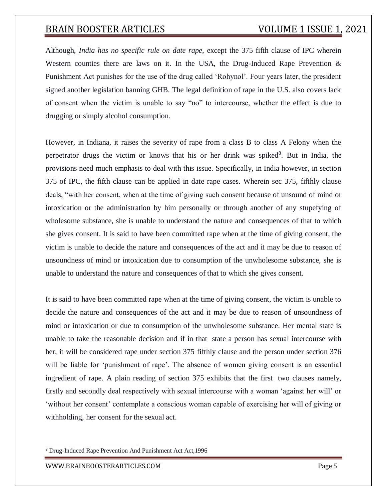Although, *India has no specific rule on date rape*, except the 375 fifth clause of IPC wherein Western counties there are laws on it. In the USA, the Drug-Induced Rape Prevention  $\&$ Punishment Act punishes for the use of the drug called 'Rohynol'. Four years later, the president signed another legislation banning GHB. The legal definition of rape in the U.S. also covers lack of consent when the victim is unable to say "no" to intercourse, whether the effect is due to drugging or simply alcohol consumption.

However, in Indiana, it raises the severity of rape from a class B to class A Felony when the perpetrator drugs the victim or knows that his or her drink was spiked<sup>8</sup>. But in India, the provisions need much emphasis to deal with this issue. Specifically, in India however, in section 375 of IPC, the fifth clause can be applied in date rape cases. Wherein sec 375, fifthly clause deals, "with her consent, when at the time of giving such consent because of unsound of mind or intoxication or the administration by him personally or through another of any stupefying of wholesome substance, she is unable to understand the nature and consequences of that to which she gives consent. It is said to have been committed rape when at the time of giving consent, the victim is unable to decide the nature and consequences of the act and it may be due to reason of unsoundness of mind or intoxication due to consumption of the unwholesome substance, she is unable to understand the nature and consequences of that to which she gives consent.

It is said to have been committed rape when at the time of giving consent, the victim is unable to decide the nature and consequences of the act and it may be due to reason of unsoundness of mind or intoxication or due to consumption of the unwholesome substance. Her mental state is unable to take the reasonable decision and if in that state a person has sexual intercourse with her, it will be considered rape under section 375 fifthly clause and the person under section 376 will be liable for 'punishment of rape'. The absence of women giving consent is an essential ingredient of rape. A plain reading of section 375 exhibits that the first two clauses namely, firstly and secondly deal respectively with sexual intercourse with a woman 'against her will' or 'without her consent' contemplate a conscious woman capable of exercising her will of giving or withholding, her consent for the sexual act.

<sup>8</sup> Drug-Induced Rape Prevention And Punishment Act Act,1996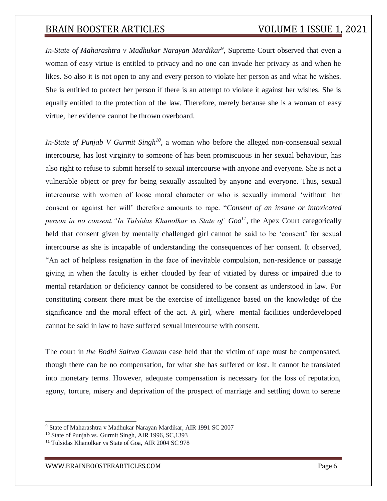In-State of Maharashtra v Madhukar Narayan Mardikar<sup>9</sup>, Supreme Court observed that even a woman of easy virtue is entitled to privacy and no one can invade her privacy as and when he likes. So also it is not open to any and every person to violate her person as and what he wishes. She is entitled to protect her person if there is an attempt to violate it against her wishes. She is equally entitled to the protection of the law. Therefore, merely because she is a woman of easy virtue, her evidence cannot be thrown overboard.

*In-State of Punjab V Gurmit Singh<sup>10</sup>*, a woman who before the alleged non-consensual sexual intercourse, has lost virginity to someone of has been promiscuous in her sexual behaviour, has also right to refuse to submit herself to sexual intercourse with anyone and everyone. She is not a vulnerable object or prey for being sexually assaulted by anyone and everyone. Thus, sexual intercourse with women of loose moral character or who is sexually immoral 'without her consent or against her will' therefore amounts to rape. "*Consent of an insane or intoxicated person in no consent."In Tulsidas Khanolkar vs State of Goa<sup>11</sup> ,* the Apex Court categorically held that consent given by mentally challenged girl cannot be said to be 'consent' for sexual intercourse as she is incapable of understanding the consequences of her consent. It observed, "An act of helpless resignation in the face of inevitable compulsion, non-residence or passage giving in when the faculty is either clouded by fear of vitiated by duress or impaired due to mental retardation or deficiency cannot be considered to be consent as understood in law. For constituting consent there must be the exercise of intelligence based on the knowledge of the significance and the moral effect of the act. A girl, where mental facilities underdeveloped cannot be said in law to have suffered sexual intercourse with consent.

The court in *the Bodhi Saltwa Gautam* case held that the victim of rape must be compensated, though there can be no compensation, for what she has suffered or lost. It cannot be translated into monetary terms. However, adequate compensation is necessary for the loss of reputation, agony, torture, misery and deprivation of the prospect of marriage and settling down to serene

<sup>9</sup> State of Maharashtra v Madhukar Narayan Mardikar, AIR 1991 SC 2007

<sup>10</sup> State of Punjab vs. Gurmit Singh, AIR 1996, SC,1393

<sup>&</sup>lt;sup>11</sup> Tulsidas Khanolkar vs State of Goa, AIR 2004 SC 978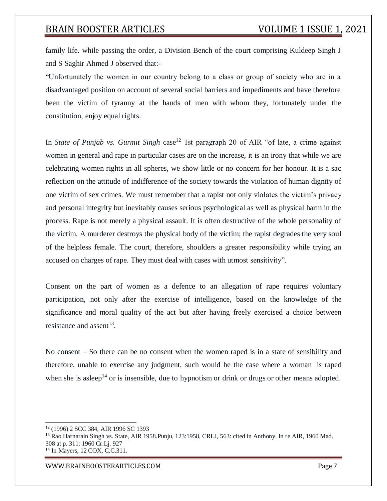family life. while passing the order, a Division Bench of the court comprising Kuldeep Singh J and S Saghir Ahmed J observed that:-

"Unfortunately the women in our country belong to a class or group of society who are in a disadvantaged position on account of several social barriers and impediments and have therefore been the victim of tyranny at the hands of men with whom they, fortunately under the constitution, enjoy equal rights.

In *State of Punjab vs. Gurmit Singh* case<sup>12</sup> 1st paragraph 20 of AIR "of late, a crime against women in general and rape in particular cases are on the increase, it is an irony that while we are celebrating women rights in all spheres, we show little or no concern for her honour. It is a sac reflection on the attitude of indifference of the society towards the violation of human dignity of one victim of sex crimes. We must remember that a rapist not only violates the victim's privacy and personal integrity but inevitably causes serious psychological as well as physical harm in the process. Rape is not merely a physical assault. It is often destructive of the whole personality of the victim. A murderer destroys the physical body of the victim; the rapist degrades the very soul of the helpless female. The court, therefore, shoulders a greater responsibility while trying an accused on charges of rape. They must deal with cases with utmost sensitivity".

Consent on the part of women as a defence to an allegation of rape requires voluntary participation, not only after the exercise of intelligence, based on the knowledge of the significance and moral quality of the act but after having freely exercised a choice between resistance and assent<sup>13</sup>.

No consent – So there can be no consent when the women raped is in a state of sensibility and therefore, unable to exercise any judgment, such would be the case where a woman is raped when she is asleep<sup>14</sup> or is insensible, due to hypnotism or drink or drugs or other means adopted.

<sup>12</sup> (1996) 2 SCC 384, AIR 1996 SC 1393

<sup>&</sup>lt;sup>13</sup> Rao Harnarain Singh vs. State, AIR 1958. Punju, 123:1958, CRLJ, 563: cited in Anthony. In re AIR, 1960 Mad. 308 at p. 311: 1960 Cr.Lj. 927

<sup>14</sup> In Mayers, 12 COX, C.C.311.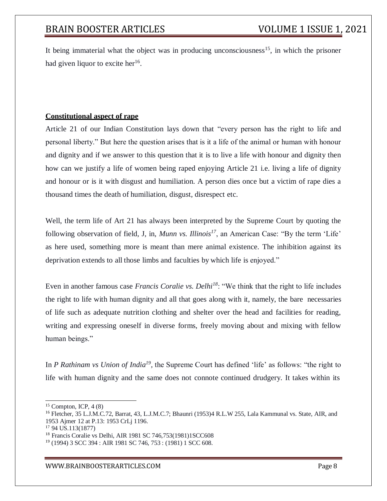It being immaterial what the object was in producing unconsciousness<sup>15</sup>, in which the prisoner had given liquor to excite her<sup>16</sup>.

### **Constitutional aspect of rape**

Article 21 of our Indian Constitution lays down that "every person has the right to life and personal liberty." But here the question arises that is it a life of the animal or human with honour and dignity and if we answer to this question that it is to live a life with honour and dignity then how can we justify a life of women being raped enjoying Article 21 i.e. living a life of dignity and honour or is it with disgust and humiliation. A person dies once but a victim of rape dies a thousand times the death of humiliation, disgust, disrespect etc.

Well, the term life of Art 21 has always been interpreted by the Supreme Court by quoting the following observation of field, J, in, *Munn vs. Illinois<sup>17</sup>*, an American Case: "By the term 'Life' as here used, something more is meant than mere animal existence. The inhibition against its deprivation extends to all those limbs and faculties by which life is enjoyed."

Even in another famous case *Francis Coralie vs. Delhi<sup>18</sup>*: "We think that the right to life includes the right to life with human dignity and all that goes along with it, namely, the bare necessaries of life such as adequate nutrition clothing and shelter over the head and facilities for reading, writing and expressing oneself in diverse forms, freely moving about and mixing with fellow human beings."

In *P Rathinam vs Union of India<sup>19</sup>*, the Supreme Court has defined 'life' as follows: "the right to life with human dignity and the same does not connote continued drudgery. It takes within its

 $15$  Compton, ICP, 4 (8)

<sup>16</sup> Fletcher, 35 L.J.M.C.72, Barrat, 43, L.J.M.C.7; Bhaunri (1953)4 R.L.W 255, Lala Kammunal vs. State, AIR, and 1953 Ajmer 12 at P.13: 1953 CrLj 1196.

<sup>17</sup> 94 US.113(1877)

<sup>&</sup>lt;sup>18</sup> Francis Coralie vs Delhi, AIR 1981 SC 746,753(1981)1SCC608

<sup>19</sup> (1994) 3 SCC 394 : AIR 1981 SC 746, 753 : (1981) 1 SCC 608.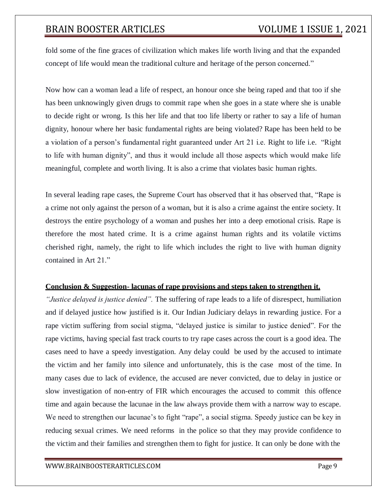fold some of the fine graces of civilization which makes life worth living and that the expanded concept of life would mean the traditional culture and heritage of the person concerned."

Now how can a woman lead a life of respect, an honour once she being raped and that too if she has been unknowingly given drugs to commit rape when she goes in a state where she is unable to decide right or wrong. Is this her life and that too life liberty or rather to say a life of human dignity, honour where her basic fundamental rights are being violated? Rape has been held to be a violation of a person's fundamental right guaranteed under Art 21 i.e. Right to life i.e. "Right to life with human dignity", and thus it would include all those aspects which would make life meaningful, complete and worth living. It is also a crime that violates basic human rights.

In several leading rape cases, the Supreme Court has observed that it has observed that, "Rape is a crime not only against the person of a woman, but it is also a crime against the entire society. It destroys the entire psychology of a woman and pushes her into a deep emotional crisis. Rape is therefore the most hated crime. It is a crime against human rights and its volatile victims cherished right, namely, the right to life which includes the right to live with human dignity contained in Art 21."

#### **Conclusion & Suggestion- lacunas of rape provisions and steps taken to strengthen it.**

*"Justice delayed is justice denied".* The suffering of rape leads to a life of disrespect, humiliation and if delayed justice how justified is it. Our Indian Judiciary delays in rewarding justice. For a rape victim suffering from social stigma, "delayed justice is similar to justice denied". For the rape victims, having special fast track courts to try rape cases across the court is a good idea. The cases need to have a speedy investigation. Any delay could be used by the accused to intimate the victim and her family into silence and unfortunately, this is the case most of the time. In many cases due to lack of evidence, the accused are never convicted, due to delay in justice or slow investigation of non-entry of FIR which encourages the accused to commit this offence time and again because the lacunae in the law always provide them with a narrow way to escape. We need to strengthen our lacunae's to fight "rape", a social stigma. Speedy justice can be key in reducing sexual crimes. We need reforms in the police so that they may provide confidence to the victim and their families and strengthen them to fight for justice. It can only be done with the